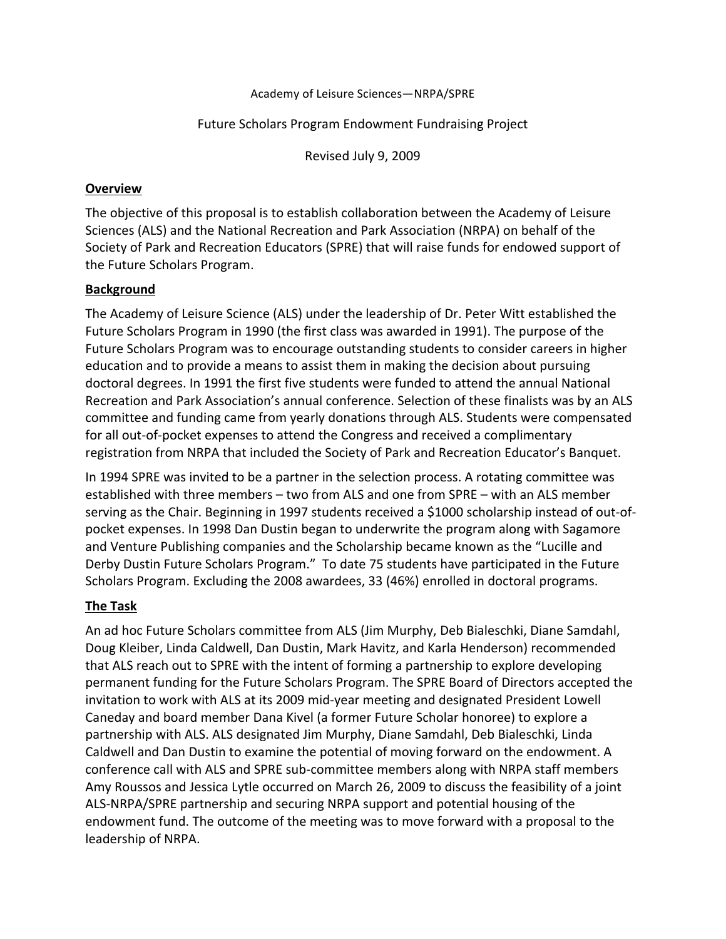#### Academy of Leisure Sciences-NRPA/SPRE

## Future Scholars Program Endowment Fundraising Project

Revised July 9, 2009

## **Overview**

The objective of this proposal is to establish collaboration between the Academy of Leisure Sciences (ALS) and the National Recreation and Park Association (NRPA) on behalf of the Society of Park and Recreation Educators (SPRE) that will raise funds for endowed support of the Future Scholars Program.

# **Background**

The Academy of Leisure Science (ALS) under the leadership of Dr. Peter Witt established the Future Scholars Program in 1990 (the first class was awarded in 1991). The purpose of the Future Scholars Program was to encourage outstanding students to consider careers in higher education and to provide a means to assist them in making the decision about pursuing doctoral degrees. In 1991 the first five students were funded to attend the annual National Recreation and Park Association's annual conference. Selection of these finalists was by an ALS committee and funding came from yearly donations through ALS. Students were compensated for all out-of-pocket expenses to attend the Congress and received a complimentary registration from NRPA that included the Society of Park and Recreation Educator's Banquet.

In 1994 SPRE was invited to be a partner in the selection process. A rotating committee was established with three members - two from ALS and one from SPRE - with an ALS member serving as the Chair. Beginning in 1997 students received a \$1000 scholarship instead of out-ofpocket expenses. In 1998 Dan Dustin began to underwrite the program along with Sagamore and Venture Publishing companies and the Scholarship became known as the "Lucille and Derby Dustin Future Scholars Program." To date 75 students have participated in the Future Scholars Program. Excluding the 2008 awardees, 33 (46%) enrolled in doctoral programs.

# **The Task**

An ad hoc Future Scholars committee from ALS (Jim Murphy, Deb Bialeschki, Diane Samdahl, Doug Kleiber, Linda Caldwell, Dan Dustin, Mark Havitz, and Karla Henderson) recommended that ALS reach out to SPRE with the intent of forming a partnership to explore developing permanent funding for the Future Scholars Program. The SPRE Board of Directors accepted the invitation to work with ALS at its 2009 mid-year meeting and designated President Lowell Caneday and board member Dana Kivel (a former Future Scholar honoree) to explore a partnership with ALS. ALS designated Jim Murphy, Diane Samdahl, Deb Bialeschki, Linda Caldwell and Dan Dustin to examine the potential of moving forward on the endowment. A conference call with ALS and SPRE sub-committee members along with NRPA staff members Amy Roussos and Jessica Lytle occurred on March 26, 2009 to discuss the feasibility of a joint ALS-NRPA/SPRE partnership and securing NRPA support and potential housing of the endowment fund. The outcome of the meeting was to move forward with a proposal to the leadership of NRPA.